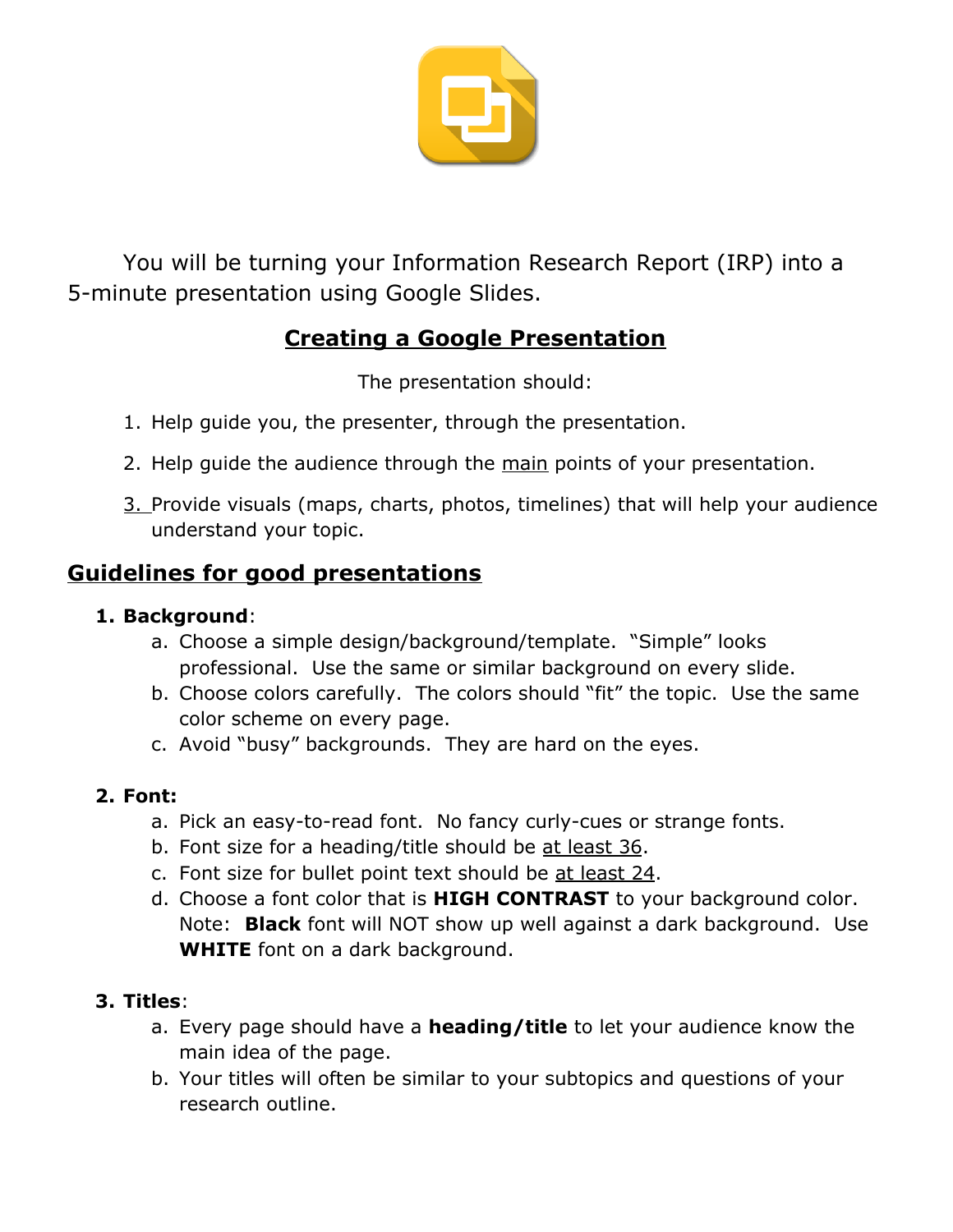

You will be turning your Information Research Report (IRP) into a 5-minute presentation using Google Slides.

# **Creating a Google Presentation**

The presentation should:

- 1. Help guide you, the presenter, through the presentation.
- 2. Help guide the audience through the main points of your presentation.
- 3. Provide visuals (maps, charts, photos, timelines) that will help your audience understand your topic.

# **Guidelines for good presentations**

# **1. Background**:

- a. Choose a simple design/background/template. "Simple" looks professional. Use the same or similar background on every slide.
- b. Choose colors carefully. The colors should "fit" the topic. Use the same color scheme on every page.
- c. Avoid "busy" backgrounds. They are hard on the eyes.

# **2. Font:**

- a. Pick an easy-to-read font. No fancy curly-cues or strange fonts.
- b. Font size for a heading/title should be at least 36.
- c. Font size for bullet point text should be at least 24.
- d. Choose a font color that is **HIGH CONTRAST** to your background color. Note: **Black** font will NOT show up well against a dark background. Use **WHITE** font on a dark background.

# **3. Titles**:

- a. Every page should have a **heading/title** to let your audience know the main idea of the page.
- b. Your titles will often be similar to your subtopics and questions of your research outline.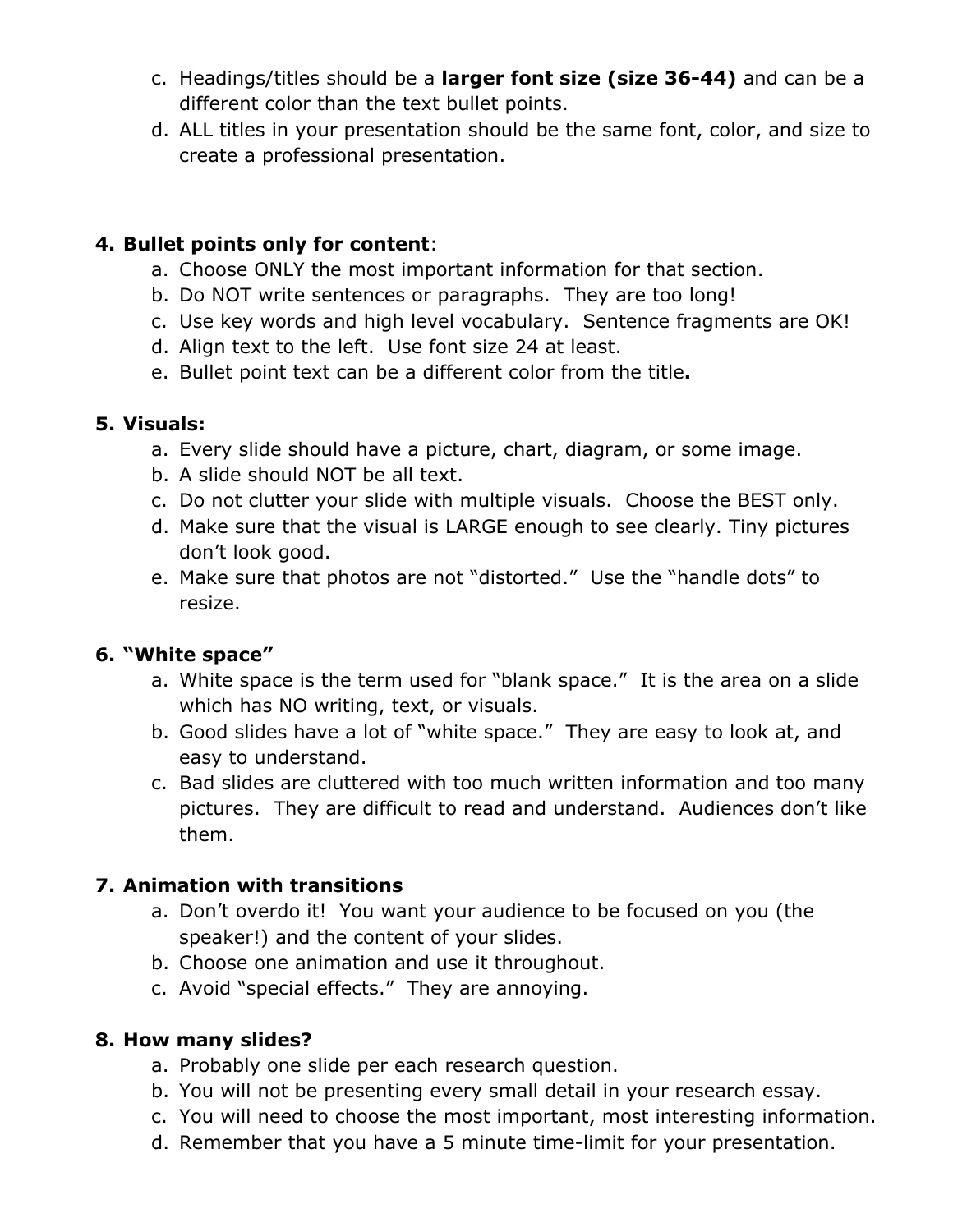- c. Headings/titles should be a **larger font size (size 36-44)** and can be a different color than the text bullet points.
- d. ALL titles in your presentation should be the same font, color, and size to create a professional presentation.

### **4. Bullet points only for content**:

- a. Choose ONLY the most important information for that section.
- b. Do NOT write sentences or paragraphs. They are too long!
- c. Use key words and high level vocabulary. Sentence fragments are OK!
- d. Align text to the left. Use font size 24 at least.
- e. Bullet point text can be a different color from the title**.**

#### **5. Visuals:**

- a. Every slide should have a picture, chart, diagram, or some image.
- b. A slide should NOT be all text.
- c. Do not clutter your slide with multiple visuals. Choose the BEST only.
- d. Make sure that the visual is LARGE enough to see clearly. Tiny pictures don't look good.
- e. Make sure that photos are not "distorted." Use the "handle dots" to resize.

# **6. "White space"**

- a. White space is the term used for "blank space." It is the area on a slide which has NO writing, text, or visuals.
- b. Good slides have a lot of "white space." They are easy to look at, and easy to understand.
- c. Bad slides are cluttered with too much written information and too many pictures. They are difficult to read and understand. Audiences don't like them.

# **7. Animation with transitions**

- a. Don't overdo it! You want your audience to be focused on you (the speaker!) and the content of your slides.
- b. Choose one animation and use it throughout.
- c. Avoid "special effects." They are annoying.

#### **8. How many slides?**

- a. Probably one slide per each research question.
- b. You will not be presenting every small detail in your research essay.
- c. You will need to choose the most important, most interesting information.
- d. Remember that you have a 5 minute time-limit for your presentation.